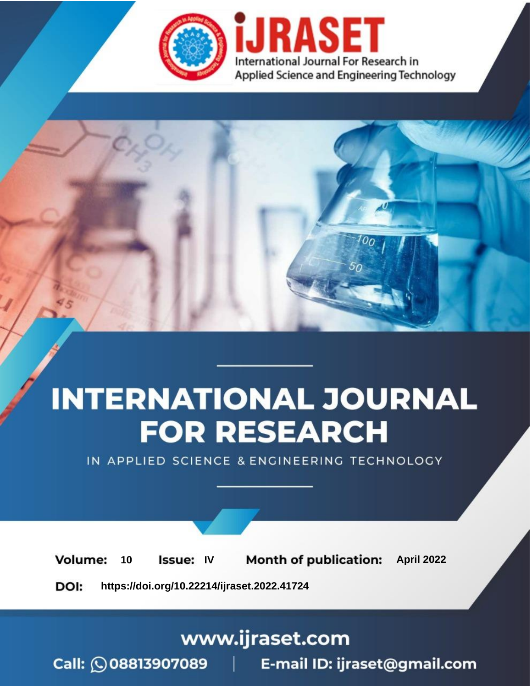

# **INTERNATIONAL JOURNAL FOR RESEARCH**

IN APPLIED SCIENCE & ENGINEERING TECHNOLOGY

Volume: 10 **Issue: IV Month of publication:** April 2022

**https://doi.org/10.22214/ijraset.2022.41724**DOI:

www.ijraset.com

Call: 008813907089 | E-mail ID: ijraset@gmail.com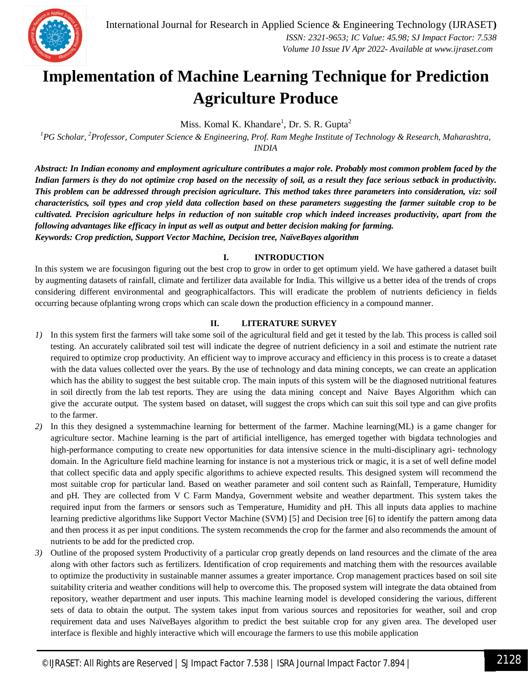

# **Implementation of Machine Learning Technique for Prediction Agriculture Produce**

Miss. Komal K. Khandare<sup>1</sup>, Dr. S. R. Gupta<sup>2</sup>

*<sup>1</sup>PG Scholar, <sup>2</sup>Professor, Computer Science & Engineering, Prof. Ram Meghe Institute of Technology & Research, Maharashtra, INDIA*

*Abstract: In Indian economy and employment agriculture contributes a major role. Probably most common problem faced by the Indian farmers is they do not optimize crop based on the necessity of soil, as a result they face serious setback in productivity. This problem can be addressed through precision agriculture. This method takes three parameters into consideration, viz: soil characteristics, soil types and crop yield data collection based on these parameters suggesting the farmer suitable crop to be cultivated. Precision agriculture helps in reduction of non suitable crop which indeed increases productivity, apart from the following advantages like efficacy in input as well as output and better decision making for farming. Keywords: Crop prediction, Support Vector Machine, Decision tree, NaïveBayes algorithm*

# **I. INTRODUCTION**

In this system we are focusingon figuring out the best crop to grow in order to get optimum yield. We have gathered a dataset built by augmenting datasets of rainfall, climate and fertilizer data available for India. This willgive us a better idea of the trends of crops considering different environmental and geographicalfactors. This will eradicate the problem of nutrients deficiency in fields occurring because ofplanting wrong crops which can scale down the production efficiency in a compound manner.

### **II. LITERATURE SURVEY**

- *1*) In this system first the farmers will take some soil of the agricultural field and get it tested by the lab. This process is called soil testing. An accurately calibrated soil test will indicate the degree of nutrient deficiency in a soil and estimate the nutrient rate required to optimize crop productivity. An efficient way to improve accuracy and efficiency in this process is to create a dataset with the data values collected over the years. By the use of technology and data mining concepts, we can create an application which has the ability to suggest the best suitable crop. The main inputs of this system will be the diagnosed nutritional features in soil directly from the lab test reports. They are using the data mining concept and Naive Bayes Algorithm which can give the accurate output. The system based on dataset, will suggest the crops which can suit this soil type and can give profits to the farmer.
- *2)* In this they designed a systemmachine learning for betterment of the farmer. Machine learning(ML) is a game changer for agriculture sector. Machine learning is the part of artificial intelligence, has emerged together with bigdata technologies and high-performance computing to create new opportunities for data intensive science in the multi-disciplinary agri- technology domain. In the Agriculture field machine learning for instance is not a mysterious trick or magic, it is a set of well define model that collect specific data and apply specific algorithms to achieve expected results. This designed system will recommend the most suitable crop for particular land. Based on weather parameter and soil content such as Rainfall, Temperature, Humidity and pH. They are collected from V C Farm Mandya, Government website and weather department. This system takes the required input from the farmers or sensors such as Temperature, Humidity and pH. This all inputs data applies to machine learning predictive algorithms like Support Vector Machine (SVM) [5] and Decision tree [6] to identify the pattern among data and then process it as per input conditions. The system recommends the crop for the farmer and also recommends the amount of nutrients to be add for the predicted crop.
- *3)* Outline of the proposed system Productivity of a particular crop greatly depends on land resources and the climate of the area along with other factors such as fertilizers. Identification of crop requirements and matching them with the resources available to optimize the productivity in sustainable manner assumes a greater importance. Crop management practices based on soil site suitability criteria and weather conditions will help to overcome this. The proposed system will integrate the data obtained from repository, weather department and user inputs. This machine learning model is developed considering the various, different sets of data to obtain the output. The system takes input from various sources and repositories for weather, soil and crop requirement data and uses NaïveBayes algorithm to predict the best suitable crop for any given area. The developed user interface is flexible and highly interactive which will encourage the farmers to use this mobile application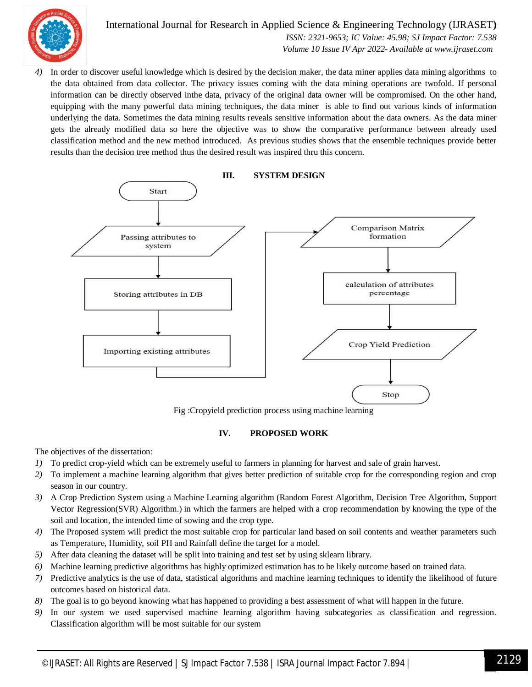

International Journal for Research in Applied Science & Engineering Technology (IJRASET**)**  *ISSN: 2321-9653; IC Value: 45.98; SJ Impact Factor: 7.538 Volume 10 Issue IV Apr 2022- Available at www.ijraset.com*

*4)* In order to discover useful knowledge which is desired by the decision maker, the data miner applies data mining algorithms to the data obtained from data collector. The privacy issues coming with the data mining operations are twofold. If personal information can be directly observed inthe data, privacy of the original data owner will be compromised. On the other hand, equipping with the many powerful data mining techniques, the data miner is able to find out various kinds of information underlying the data. Sometimes the data mining results reveals sensitive information about the data owners. As the data miner gets the already modified data so here the objective was to show the comparative performance between already used classification method and the new method introduced. As previous studies shows that the ensemble techniques provide better results than the decision tree method thus the desired result was inspired thru this concern.



Fig :Cropyield prediction process using machine learning

### **IV. PROPOSED WORK**

The objectives of the dissertation:

- *1)* To predict crop-yield which can be extremely useful to farmers in planning for harvest and sale of grain harvest.
- *2)* To implement a machine learning algorithm that gives better prediction of suitable crop for the corresponding region and crop season in our country.
- *3)* A Crop Prediction System using a Machine Learning algorithm (Random Forest Algorithm, Decision Tree Algorithm, Support Vector Regression(SVR) Algorithm.) in which the farmers are helped with a crop recommendation by knowing the type of the soil and location, the intended time of sowing and the crop type.
- *4)* The Proposed system will predict the most suitable crop for particular land based on soil contents and weather parameters such as Temperature, Humidity, soil PH and Rainfall define the target for a model.
- *5)* After data cleaning the dataset will be split into training and test set by using sklearn library.
- *6)* Machine learning predictive algorithms has highly optimized estimation has to be likely outcome based on trained data.
- *7)* Predictive analytics is the use of data, statistical algorithms and machine learning techniques to identify the likelihood of future outcomes based on historical data.
- *8)* The goal is to go beyond knowing what has happened to providing a best assessment of what will happen in the future.
- *9)* In our system we used supervised machine learning algorithm having subcategories as classification and regression. Classification algorithm will be most suitable for our system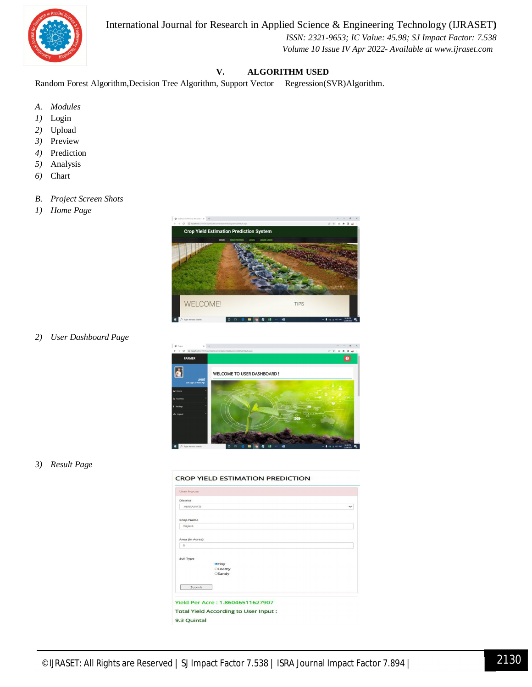# International Journal for Research in Applied Science & Engineering Technology (IJRASET**)**



#### *ISSN: 2321-9653; IC Value: 45.98; SJ Impact Factor: 7.538 Volume 10 Issue IV Apr 2022- Available at www.ijraset.com*

# **V. ALGORITHM USED**

Random Forest Algorithm,Decision Tree Algorithm, Support Vector Regression(SVR)Algorithm.

- *A. Modules*
- *1)* Login
- *2)* Upload
- *3)* Preview
- *4)* Prediction
- *5)* Analysis
- *6)* Chart
- *B. Project Screen Shots*
- *1) Home Page*



*2) User Dashboard Page*



#### *3) Result Page*

#### **CROP YIELD ESTIMATION PREDICTION**

| <b>District</b> |                                               |             |
|-----------------|-----------------------------------------------|-------------|
| AMRAVATI        |                                               | $\check{ }$ |
| Crop Name       |                                               |             |
| Bajara          |                                               |             |
| Area (In Acres) |                                               |             |
| $\overline{5}$  |                                               |             |
| Soil Type       | <b>eclay</b><br><b>CLoamy</b><br><b>Sandy</b> |             |
| Submit          |                                               |             |
|                 |                                               |             |
|                 | <b>Yield Per Acre: 1.86046511627907</b>       |             |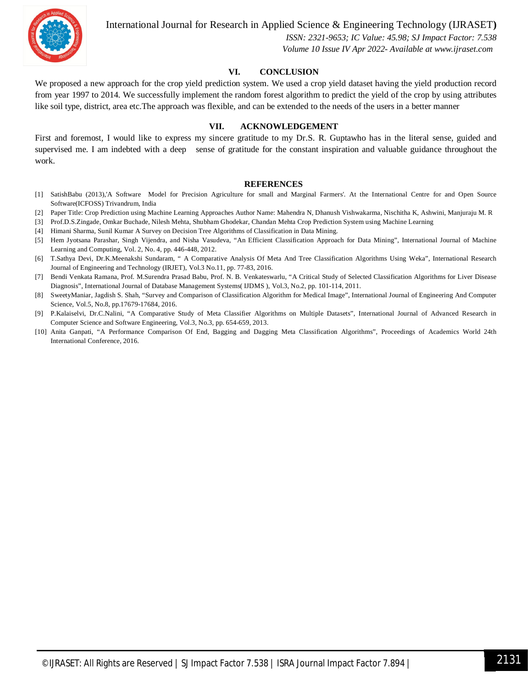

International Journal for Research in Applied Science & Engineering Technology (IJRASET**)**

 *ISSN: 2321-9653; IC Value: 45.98; SJ Impact Factor: 7.538 Volume 10 Issue IV Apr 2022- Available at www.ijraset.com*

#### **VI. CONCLUSION**

We proposed a new approach for the crop yield prediction system. We used a crop yield dataset having the yield production record from year 1997 to 2014. We successfully implement the random forest algorithm to predict the yield of the crop by using attributes like soil type, district, area etc.The approach was flexible, and can be extended to the needs of the users in a better manner

#### **VII. ACKNOWLEDGEMENT**

First and foremost, I would like to express my sincere gratitude to my Dr.S. R. Guptawho has in the literal sense, guided and supervised me. I am indebted with a deep sense of gratitude for the constant inspiration and valuable guidance throughout the work.

#### **REFERENCES**

- [1] SatishBabu (2013),'A Software Model for Precision Agriculture for small and Marginal Farmers'. At the International Centre for and Open Source Software(ICFOSS) Trivandrum, India
- [2] Paper Title: Crop Prediction using Machine Learning Approaches Author Name: Mahendra N, Dhanush Vishwakarma, Nischitha K, Ashwini, Manjuraju M. R
- [3] Prof.D.S.Zingade, Omkar Buchade, Nilesh Mehta, Shubham Ghodekar, Chandan Mehta Crop Prediction System using Machine Learning
- [4] Himani Sharma, Sunil Kumar A Survey on Decision Tree Algorithms of Classification in Data Mining.
- [5] Hem Jyotsana Parashar, Singh Vijendra, and Nisha Vasudeva, "An Efficient Classification Approach for Data Mining", International Journal of Machine Learning and Computing, Vol. 2, No. 4, pp. 446-448, 2012.
- [6] T.Sathya Devi, Dr.K.Meenakshi Sundaram, " A Comparative Analysis Of Meta And Tree Classification Algorithms Using Weka", International Research Journal of Engineering and Technology (IRJET), Vol.3 No.11, pp. 77-83, 2016.
- [7] Bendi Venkata Ramana, Prof. M.Surendra Prasad Babu, Prof. N. B. Venkateswarlu, "A Critical Study of Selected Classification Algorithms for Liver Disease Diagnosis", International Journal of Database Management Systems( IJDMS ), Vol.3, No.2, pp. 101-114, 2011.
- [8] SweetyManiar, Jagdish S. Shah, "Survey and Comparison of Classification Algorithm for Medical Image", International Journal of Engineering And Computer Science, Vol.5, No.8, pp.17679-17684, 2016.
- [9] P.Kalaiselvi, Dr.C.Nalini, "A Comparative Study of Meta Classifier Algorithms on Multiple Datasets", International Journal of Advanced Research in Computer Science and Software Engineering, Vol.3, No.3, pp. 654-659, 2013.
- [10] Anita Ganpati, "A Performance Comparison Of End, Bagging and Dagging Meta Classification Algorithms", Proceedings of Academics World 24th International Conference, 2016.